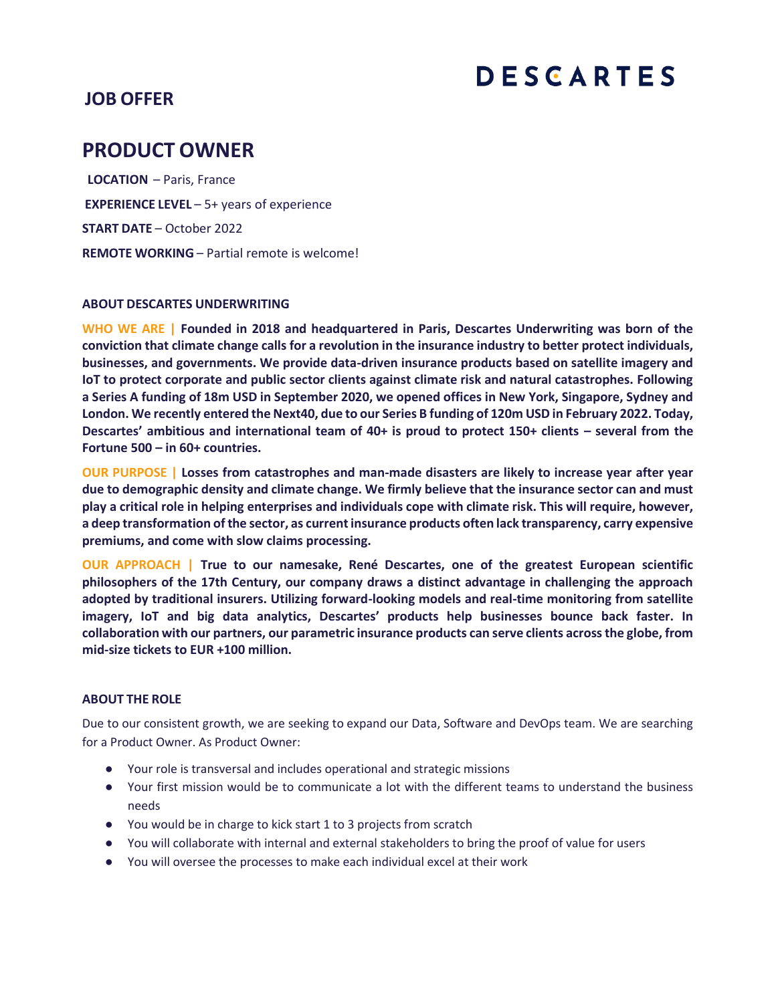# **JOB OFFER**

# **DESCARTES**

# **PRODUCT OWNER**

 **LOCATION** – Paris, France **EXPERIENCE LEVEL** – 5+ years of experience **START DATE** – October 2022 **REMOTE WORKING** – Partial remote is welcome!

## **ABOUT DESCARTES UNDERWRITING**

**WHO WE ARE | Founded in 2018 and headquartered in Paris, Descartes Underwriting was born of the conviction that climate change calls for a revolution in the insurance industry to better protect individuals, businesses, and governments. We provide data-driven insurance products based on satellite imagery and IoT to protect corporate and public sector clients against climate risk and natural catastrophes. Following a Series A funding of 18m USD in September 2020, we opened offices in New York, Singapore, Sydney and London. We recently entered the Next40, due to our Series B funding of 120m USD in February 2022. Today, Descartes' ambitious and international team of 40+ is proud to protect 150+ clients – several from the Fortune 500 – in 60+ countries.**

**OUR PURPOSE | Losses from catastrophes and man-made disasters are likely to increase year after year due to demographic density and climate change. We firmly believe that the insurance sector can and must play a critical role in helping enterprises and individuals cope with climate risk. This will require, however, a deep transformation of the sector, as current insurance products often lack transparency, carry expensive premiums, and come with slow claims processing.** 

**OUR APPROACH | True to our namesake, René Descartes, one of the greatest European scientific philosophers of the 17th Century, our company draws a distinct advantage in challenging the approach adopted by traditional insurers. Utilizing forward-looking models and real-time monitoring from satellite imagery, IoT and big data analytics, Descartes' products help businesses bounce back faster. In collaboration with our partners, our parametric insurance products can serve clients across the globe, from mid-size tickets to EUR +100 million.**

## **ABOUT THE ROLE**

Due to our consistent growth, we are seeking to expand our Data, Software and DevOps team. We are searching for a Product Owner. As Product Owner:

- Your role is transversal and includes operational and strategic missions
- Your first mission would be to communicate a lot with the different teams to understand the business needs
- You would be in charge to kick start 1 to 3 projects from scratch
- You will collaborate with internal and external stakeholders to bring the proof of value for users
- You will oversee the processes to make each individual excel at their work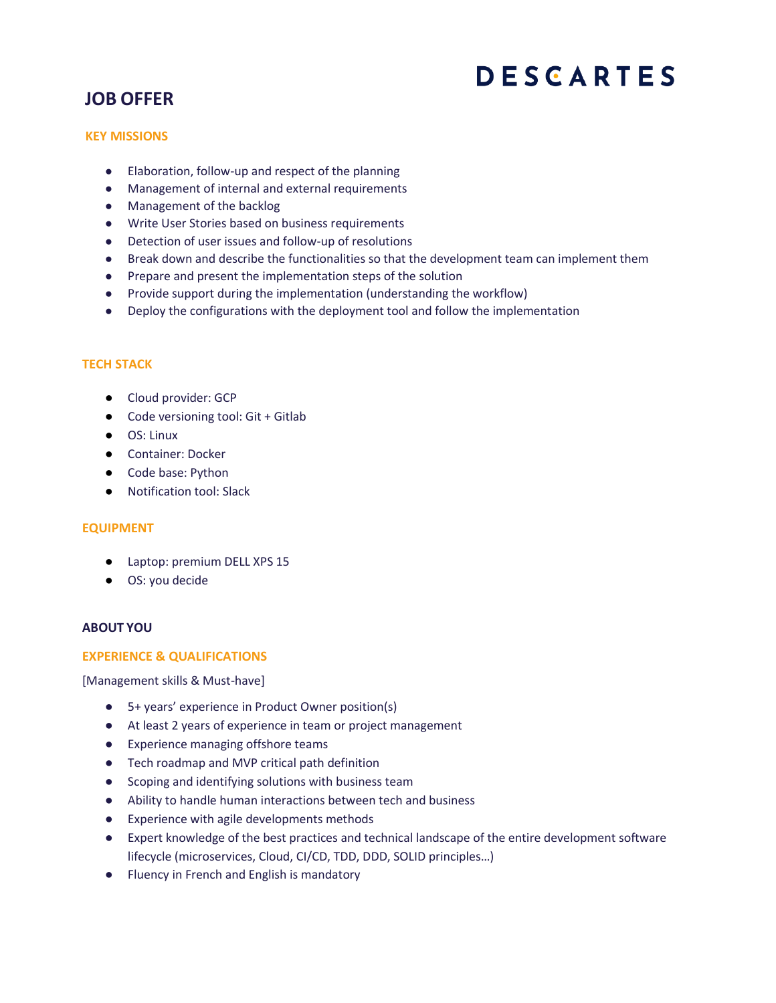# **DESCARTES**

# **JOB OFFER**

## **KEY MISSIONS**

- Elaboration, follow-up and respect of the planning
- Management of internal and external requirements
- Management of the backlog
- Write User Stories based on business requirements
- Detection of user issues and follow-up of resolutions
- Break down and describe the functionalities so that the development team can implement them
- Prepare and present the implementation steps of the solution
- Provide support during the implementation (understanding the workflow)
- Deploy the configurations with the deployment tool and follow the implementation

### **TECH STACK**

- Cloud provider: GCP
- Code versioning tool: Git + Gitlab
- OS: Linux
- Container: Docker
- Code base: Python
- Notification tool: Slack

#### **EQUIPMENT**

- Laptop: premium DELL XPS 15
- OS: you decide

#### **ABOUT YOU**

#### **EXPERIENCE & QUALIFICATIONS**

[Management skills & Must-have]

- 5+ years' experience in Product Owner position(s)
- At least 2 years of experience in team or project management
- Experience managing offshore teams
- Tech roadmap and MVP critical path definition
- Scoping and identifying solutions with business team
- Ability to handle human interactions between tech and business
- Experience with agile developments methods
- Expert knowledge of the best practices and technical landscape of the entire development software lifecycle (microservices, Cloud, CI/CD, TDD, DDD, SOLID principles…)
- Fluency in French and English is mandatory